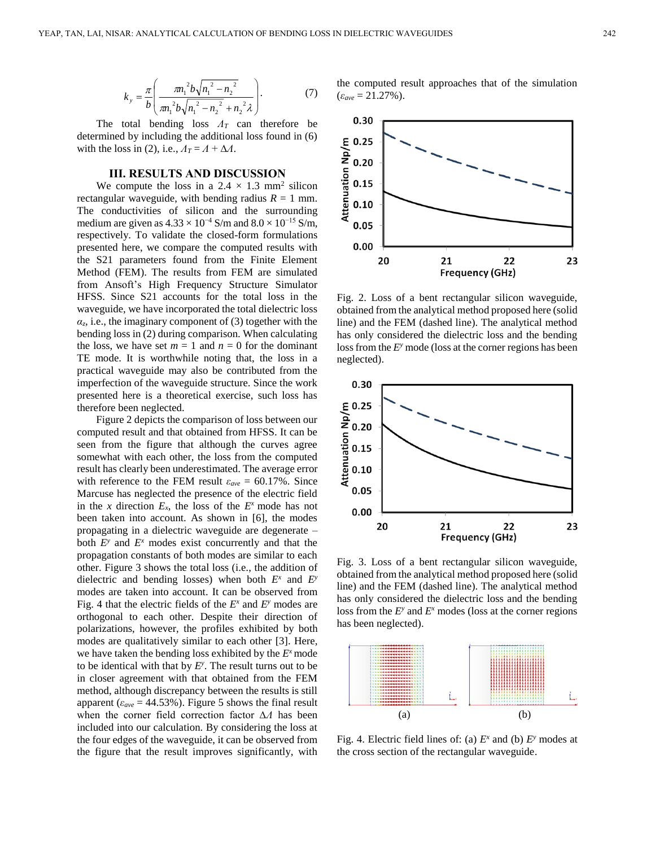$$
k_{y} = \frac{\pi}{b} \left( \frac{m_{1}^{2} b \sqrt{n_{1}^{2} - n_{2}^{2}}}{m_{1}^{2} b \sqrt{n_{1}^{2} - n_{2}^{2}} + n_{2}^{2} \lambda} \right).
$$
 (7)

The total bending loss *ΛT* can therefore be determined by including the additional loss found in (6) with the loss in (2), i.e.,  $A_T = A + \Delta A$ .

## **III. RESULTS AND DISCUSSION**

We compute the loss in a  $2.4 \times 1.3$  mm<sup>2</sup> silicon rectangular waveguide, with bending radius  $R = 1$  mm. The conductivities of silicon and the surrounding medium are given as  $4.33 \times 10^{-4}$  S/m and  $8.0 \times 10^{-15}$  S/m, respectively. To validate the closed-form formulations presented here, we compare the computed results with the S21 parameters found from the Finite Element Method (FEM). The results from FEM are simulated from Ansoft's High Frequency Structure Simulator HFSS. Since S21 accounts for the total loss in the waveguide, we have incorporated the total dielectric loss  $\alpha$ <sub>z</sub>, i.e., the imaginary component of (3) together with the bending loss in (2) during comparison. When calculating the loss, we have set  $m = 1$  and  $n = 0$  for the dominant TE mode. It is worthwhile noting that, the loss in a practical waveguide may also be contributed from the imperfection of the waveguide structure. Since the work presented here is a theoretical exercise, such loss has therefore been neglected.

Figure 2 depicts the comparison of loss between our computed result and that obtained from HFSS. It can be seen from the figure that although the curves agree somewhat with each other, the loss from the computed result has clearly been underestimated. The average error with reference to the FEM result  $\varepsilon_{ave} = 60.17\%$ . Since Marcuse has neglected the presence of the electric field in the *x* direction  $E_x$ , the loss of the  $E^x$  mode has not been taken into account. As shown in [6], the modes propagating in a dielectric waveguide are degenerate – both  $E^y$  and  $E^x$  modes exist concurrently and that the propagation constants of both modes are similar to each other. Figure 3 shows the total loss (i.e., the addition of dielectric and bending losses) when both  $E^x$  and  $E^y$ modes are taken into account. It can be observed from Fig. 4 that the electric fields of the  $E^x$  and  $E^y$  modes are orthogonal to each other. Despite their direction of polarizations, however, the profiles exhibited by both modes are qualitatively similar to each other [3]. Here, we have taken the bending loss exhibited by the  $E^x$  mode to be identical with that by  $E<sup>y</sup>$ . The result turns out to be in closer agreement with that obtained from the FEM method, although discrepancy between the results is still apparent ( $\varepsilon_{ave}$  = 44.53%). Figure 5 shows the final result when the corner field correction factor ∆*Λ* has been included into our calculation. By considering the loss at the four edges of the waveguide, it can be observed from the figure that the result improves significantly, with

the computed result approaches that of the simulation (*εave* = 21.27%).



Fig. 2. Loss of a bent rectangular silicon waveguide, obtained from the analytical method proposed here (solid line) and the FEM (dashed line). The analytical method has only considered the dielectric loss and the bending loss from the *E*<sup>*y*</sup> mode (loss at the corner regions has been neglected).



Fig. 3. Loss of a bent rectangular silicon waveguide, obtained from the analytical method proposed here (solid line) and the FEM (dashed line). The analytical method has only considered the dielectric loss and the bending loss from the  $E^y$  and  $E^x$  modes (loss at the corner regions has been neglected).



Fig. 4. Electric field lines of: (a)  $E^x$  and (b)  $E^y$  modes at the cross section of the rectangular waveguide.